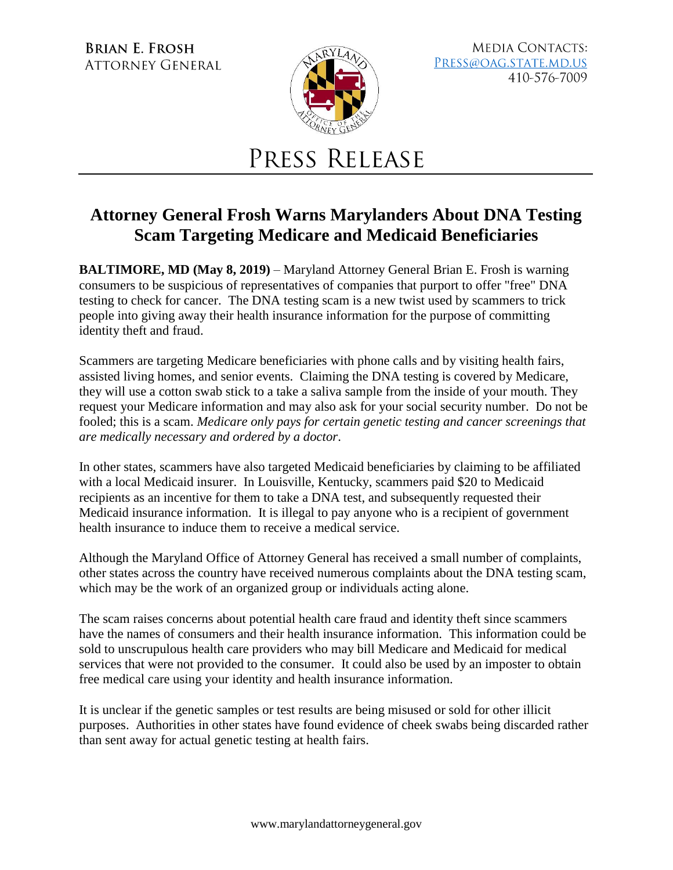**BRIAN E. FROSH ATTORNEY GENERAL** 



**MEDIA CONTACTS:** PRESS@OAG.STATE.MD.US 410-576-7009

## PRESS RELEASE

## **Attorney General Frosh Warns Marylanders About DNA Testing Scam Targeting Medicare and Medicaid Beneficiaries**

**BALTIMORE, MD (May 8, 2019)** – Maryland Attorney General Brian E. Frosh is warning consumers to be suspicious of representatives of companies that purport to offer "free" DNA testing to check for cancer. The DNA testing scam is a new twist used by scammers to trick people into giving away their health insurance information for the purpose of committing identity theft and fraud.

Scammers are targeting Medicare beneficiaries with phone calls and by visiting health fairs, assisted living homes, and senior events. Claiming the DNA testing is covered by Medicare, they will use a cotton swab stick to a take a saliva sample from the inside of your mouth. They request your Medicare information and may also ask for your social security number. Do not be fooled; this is a scam. *Medicare only pays for certain genetic testing and cancer screenings that are medically necessary and ordered by a doctor*.

In other states, scammers have also targeted Medicaid beneficiaries by claiming to be affiliated with a local Medicaid insurer. In Louisville, Kentucky, scammers paid \$20 to Medicaid recipients as an incentive for them to take a DNA test, and subsequently requested their Medicaid insurance information. It is illegal to pay anyone who is a recipient of government health insurance to induce them to receive a medical service.

Although the Maryland Office of Attorney General has received a small number of complaints, other states across the country have received numerous complaints about the DNA testing scam, which may be the work of an organized group or individuals acting alone.

The scam raises concerns about potential health care fraud and identity theft since scammers have the names of consumers and their health insurance information. This information could be sold to unscrupulous health care providers who may bill Medicare and Medicaid for medical services that were not provided to the consumer. It could also be used by an imposter to obtain free medical care using your identity and health insurance information.

It is unclear if the genetic samples or test results are being misused or sold for other illicit purposes. Authorities in other states have found evidence of cheek swabs being discarded rather than sent away for actual genetic testing at health fairs.